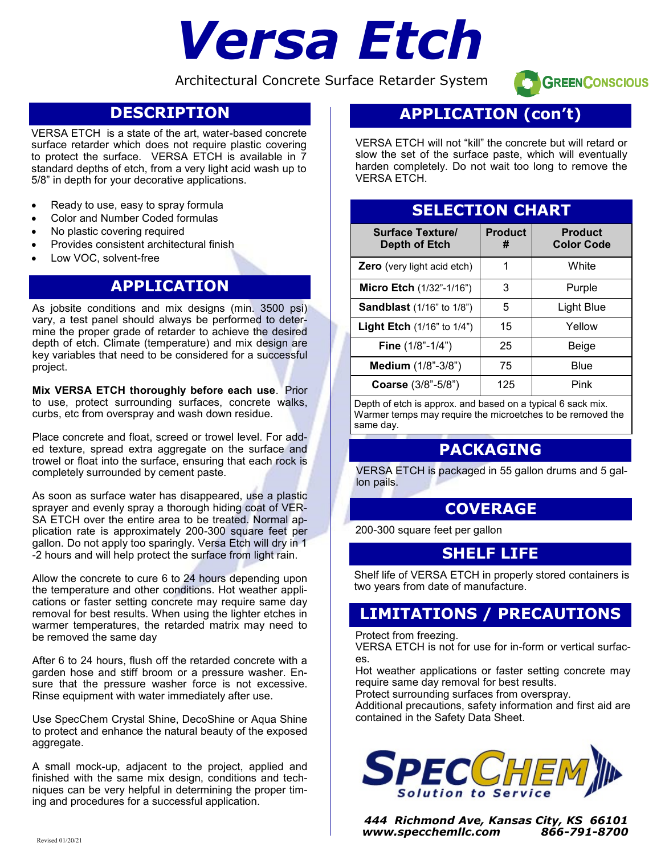# *Versa Etch*

Architectural Concrete Surface Retarder System



# **DESCRIPTION**

VERSA ETCH is a state of the art, water-based concrete surface retarder which does not require plastic covering to protect the surface. VERSA ETCH is available in 7 standard depths of etch, from a very light acid wash up to 5/8" in depth for your decorative applications.

- Ready to use, easy to spray formula
- Color and Number Coded formulas
- No plastic covering required
- Provides consistent architectural finish
- Low VOC, solvent-free

# **APPLICATION**

As jobsite conditions and mix designs (min. 3500 psi) vary, a test panel should always be performed to determine the proper grade of retarder to achieve the desired depth of etch. Climate (temperature) and mix design are key variables that need to be considered for a successful project.

**Mix VERSA ETCH thoroughly before each use**. Prior to use, protect surrounding surfaces, concrete walks, curbs, etc from overspray and wash down residue.

Place concrete and float, screed or trowel level. For added texture, spread extra aggregate on the surface and trowel or float into the surface, ensuring that each rock is completely surrounded by cement paste.

As soon as surface water has disappeared, use a plastic sprayer and evenly spray a thorough hiding coat of VER-SA ETCH over the entire area to be treated. Normal application rate is approximately 200-300 square feet per gallon. Do not apply too sparingly. Versa Etch will dry in 1 -2 hours and will help protect the surface from light rain.

Allow the concrete to cure 6 to 24 hours depending upon the temperature and other conditions. Hot weather applications or faster setting concrete may require same day removal for best results. When using the lighter etches in warmer temperatures, the retarded matrix may need to be removed the same day

After 6 to 24 hours, flush off the retarded concrete with a garden hose and stiff broom or a pressure washer. Ensure that the pressure washer force is not excessive. Rinse equipment with water immediately after use.

Use SpecChem Crystal Shine, DecoShine or Aqua Shine to protect and enhance the natural beauty of the exposed aggregate.

A small mock-up, adjacent to the project, applied and finished with the same mix design, conditions and techniques can be very helpful in determining the proper timing and procedures for a successful application.

# **APPLICATION (con't)**

VERSA ETCH will not "kill" the concrete but will retard or slow the set of the surface paste, which will eventually harden completely. Do not wait too long to remove the VERSA ETCH.

# **SELECTION CHART**

| <b>Surface Texture</b><br><b>Depth of Etch</b> | <b>Product</b><br># | <b>Product</b><br><b>Color Code</b> |
|------------------------------------------------|---------------------|-------------------------------------|
| <b>Zero</b> (very light acid etch)             | 1                   | White                               |
| <b>Micro Etch</b> $(1/32 - 1/16)$              | 3                   | Purple                              |
| <b>Sandblast</b> (1/16" to 1/8")               | 5                   | Light Blue                          |
| <b>Light Etch</b> $(1/16"$ to $1/4")$          | 15                  | Yellow                              |
| Fine (1/8"-1/4")                               | 25                  | Beige                               |
| <b>Medium</b> (1/8"-3/8")                      | 75                  | Blue                                |
| Coarse (3/8"-5/8")                             | 125                 | Pink                                |

Depth of etch is approx. and based on a typical 6 sack mix. Warmer temps may require the microetches to be removed the same day.

## **PACKAGING**

VERSA ETCH is packaged in 55 gallon drums and 5 gallon pails.

## **COVERAGE**

200-300 square feet per gallon

## **SHELF LIFE**

Shelf life of VERSA ETCH in properly stored containers is two years from date of manufacture.

# **LIMITATIONS / PRECAUTIONS**

Protect from freezing.

VERSA ETCH is not for use for in-form or vertical surfaces.

Hot weather applications or faster setting concrete may require same day removal for best results.

Protect surrounding surfaces from overspray.

Additional precautions, safety information and first aid are contained in the Safety Data Sheet.



*444 Richmond Ave, Kansas City, KS 66101 www.specchemllc.com 866-791-8700*